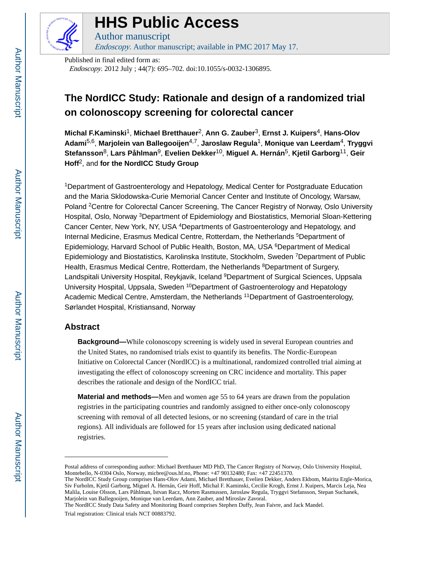

## **HHS Public Access**

Author manuscript Endoscopy. Author manuscript; available in PMC 2017 May 17.

Published in final edited form as: Endoscopy. 2012 July ; 44(7): 695–702. doi:10.1055/s-0032-1306895.

### **The NordICC Study: Rationale and design of a randomized trial on colonoscopy screening for colorectal cancer**

**Michal F.Kaminski**1, **Michael Bretthauer**2, **Ann G. Zauber**3, **Ernst J. Kuipers**4, **Hans-Olov Adami**5,6, **Marjolein van Ballegooijen**4,7, **Jaroslaw Regula**1, **Monique van Leerdam**4, **Tryggvi Stefansson**8, **Lars Påhlman**9, **Evelien Dekker**10, **Miguel A. Hernán**5, **Kjetil Garborg**11, **Geir Hoff**2, and **for the NordICC Study Group**

<sup>1</sup>Department of Gastroenterology and Hepatology, Medical Center for Postgraduate Education and the Maria Sklodowska-Curie Memorial Cancer Center and Institute of Oncology, Warsaw, Poland <sup>2</sup>Centre for Colorectal Cancer Screening, The Cancer Registry of Norway, Oslo University Hospital, Oslo, Norway <sup>3</sup>Department of Epidemiology and Biostatistics, Memorial Sloan-Kettering Cancer Center, New York, NY, USA <sup>4</sup>Departments of Gastroenterology and Hepatology, and Internal Medicine, Erasmus Medical Centre, Rotterdam, the Netherlands <sup>5</sup>Department of Epidemiology, Harvard School of Public Health, Boston, MA, USA  $6D$ epartment of Medical Epidemiology and Biostatistics, Karolinska Institute, Stockholm, Sweden <sup>7</sup>Department of Public Health, Erasmus Medical Centre, Rotterdam, the Netherlands <sup>8</sup>Department of Surgery, Landspitali University Hospital, Reykjavik, Iceland <sup>9</sup>Department of Surgical Sciences, Uppsala University Hospital, Uppsala, Sweden <sup>10</sup>Department of Gastroenterology and Hepatology Academic Medical Centre, Amsterdam, the Netherlands <sup>11</sup>Department of Gastroenterology, Sørlandet Hospital, Kristiansand, Norway

#### **Abstract**

**Background—**While colonoscopy screening is widely used in several European countries and the United States, no randomised trials exist to quantify its benefits. The Nordic-European Initiative on Colorectal Cancer (NordICC) is a multinational, randomized controlled trial aiming at investigating the effect of colonoscopy screening on CRC incidence and mortality. This paper describes the rationale and design of the NordICC trial.

**Material and methods—**Men and women age 55 to 64 years are drawn from the population registries in the participating countries and randomly assigned to either once-only colonoscopy screening with removal of all detected lesions, or no screening (standard of care in the trial regions). All individuals are followed for 15 years after inclusion using dedicated national registries.

Postal address of corresponding author: Michael Bretthauer MD PhD, The Cancer Registry of Norway, Oslo University Hospital, Montebello, N-0304 Oslo, Norway, micbre@ous.hf.no, Phone: +47 90132480; Fax: +47 22451370.

The NordICC Study Group comprises Hans-Olov Adami, Michael Bretthauer, Evelien Dekker, Anders Ekbom, Mairita Ergle-Morica, Siv Furholm, Kjetil Garborg, Miguel A. Hernán, Geir Hoff, Michal F. Kaminski, Cecilie Krogh, Ernst J. Kuipers, Marcis Leja, Nea Malila, Louise Olsson, Lars Påhlman, Istvan Racz, Morten Rasmussen, Jaroslaw Regula, Tryggvi Stefansson, Stepan Suchanek, Marjolein van Ballegooijen, Monique van Leerdam, Ann Zauber, and Miroslav Zavoral.

The NordICC Study Data Safety and Monitoring Board comprises Stephen Duffy, Jean Faivre, and Jack Mandel.

Trial registration: Clinical trials NCT 00883792.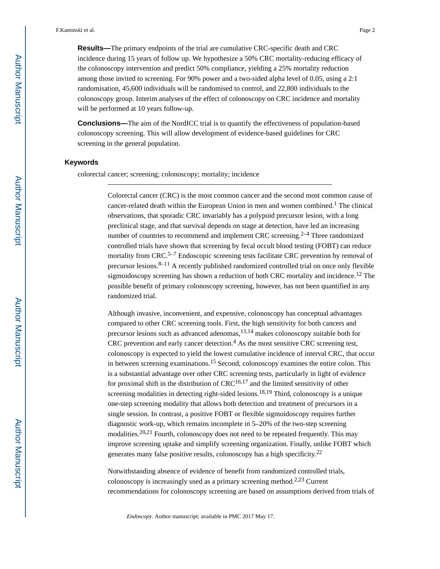**Results—**The primary endpoints of the trial are cumulative CRC-specific death and CRC incidence during 15 years of follow up. We hypothesize a 50% CRC mortality-reducing efficacy of the colonoscopy intervention and predict 50% compliance, yielding a 25% mortality reduction among those invited to screening. For 90% power and a two-sided alpha level of 0.05, using a 2:1 randomisation, 45,600 individuals will be randomised to control, and 22,800 individuals to the colonoscopy group. Interim analyses of the effect of colonoscopy on CRC incidence and mortality will be performed at 10 years follow-up.

**Conclusions—**The aim of the NordICC trial is to quantify the effectiveness of population-based colonoscopy screening. This will allow development of evidence-based guidelines for CRC screening in the general population.

#### **Keywords**

colorectal cancer; screening; colonoscopy; mortality; incidence

Colorectal cancer (CRC) is the most common cancer and the second most common cause of cancer-related death within the European Union in men and women combined.<sup>1</sup> The clinical observations, that sporadic CRC invariably has a polypoid precursor lesion, with a long preclinical stage, and that survival depends on stage at detection, have led an increasing number of countries to recommend and implement CRC screening.<sup>2–4</sup> Three randomized controlled trials have shown that screening by fecal occult blood testing (FOBT) can reduce mortality from CRC.<sup>5–7</sup> Endoscopic screening tests facilitate CRC prevention by removal of precursor lesions.<sup>8–11</sup> A recently published randomized controlled trial on once only flexible sigmoidoscopy screening has shown a reduction of both CRC mortality and incidence.<sup>12</sup> The possible benefit of primary colonoscopy screening, however, has not been quantified in any randomized trial.

Although invasive, inconvenient, and expensive, colonoscopy has conceptual advantages compared to other CRC screening tools. First, the high sensitivity for both cancers and precursor lesions such as advanced adenomas,13,14 makes colonoscopy suitable both for CRC prevention and early cancer detection. $4$  As the most sensitive CRC screening test, colonoscopy is expected to yield the lowest cumulative incidence of interval CRC, that occur in between screening examinations.15 Second, colonoscopy examines the entire colon. This is a substantial advantage over other CRC screening tests, particularly in light of evidence for proximal shift in the distribution of  $CRC^{16,17}$  and the limited sensitivity of other screening modalities in detecting right-sided lesions.<sup>18,19</sup> Third, colonoscopy is a unique one-step screening modality that allows both detection and treatment of precursors in a single session. In contrast, a positive FOBT or flexible sigmoidoscopy requires further diagnostic work-up, which remains incomplete in 5–20% of the two-step screening modalities.<sup>20,21</sup> Fourth, colonoscopy does not need to be repeated frequently. This may improve screening uptake and simplify screening organization. Finally, unlike FOBT which generates many false positive results, colonoscopy has a high specificity.<sup>22</sup>

Notwithstanding absence of evidence of benefit from randomized controlled trials, colonoscopy is increasingly used as a primary screening method.2,23 Current recommendations for colonoscopy screening are based on assumptions derived from trials of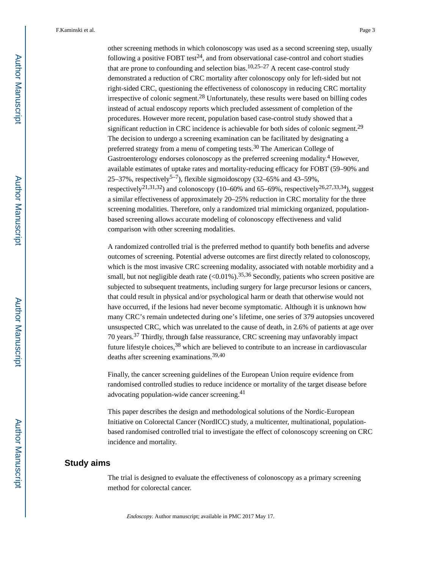other screening methods in which colonoscopy was used as a second screening step, usually following a positive FOBT test<sup>24</sup>, and from observational case-control and cohort studies that are prone to confounding and selection bias.<sup>10,25–27</sup> A recent case-control study demonstrated a reduction of CRC mortality after colonoscopy only for left-sided but not right-sided CRC, questioning the effectiveness of colonoscopy in reducing CRC mortality irrespective of colonic segment.<sup>28</sup> Unfortunately, these results were based on billing codes instead of actual endoscopy reports which precluded assessment of completion of the procedures. However more recent, population based case-control study showed that a significant reduction in CRC incidence is achievable for both sides of colonic segment.<sup>29</sup> The decision to undergo a screening examination can be facilitated by designating a preferred strategy from a menu of competing tests.<sup>30</sup> The American College of Gastroenterology endorses colonoscopy as the preferred screening modality.<sup>4</sup> However, available estimates of uptake rates and mortality-reducing efficacy for FOBT (59–90% and 25–37%, respectively<sup>5–7</sup>), flexible sigmoidoscopy (32–65% and 43–59%, respectively<sup>21,31,32</sup>) and colonoscopy (10–60% and 65–69%, respectively<sup>26,27,33,34</sup>), suggest a similar effectiveness of approximately 20–25% reduction in CRC mortality for the three screening modalities. Therefore, only a randomized trial mimicking organized, populationbased screening allows accurate modeling of colonoscopy effectiveness and valid comparison with other screening modalities.

A randomized controlled trial is the preferred method to quantify both benefits and adverse outcomes of screening. Potential adverse outcomes are first directly related to colonoscopy, which is the most invasive CRC screening modality, associated with notable morbidity and a small, but not negligible death rate  $(<0.01\%)$ .<sup>35,36</sup> Secondly, patients who screen positive are subjected to subsequent treatments, including surgery for large precursor lesions or cancers, that could result in physical and/or psychological harm or death that otherwise would not have occurred, if the lesions had never become symptomatic. Although it is unknown how many CRC's remain undetected during one's lifetime, one series of 379 autopsies uncovered unsuspected CRC, which was unrelated to the cause of death, in 2.6% of patients at age over 70 years.37 Thirdly, through false reassurance, CRC screening may unfavorably impact future lifestyle choices,<sup>38</sup> which are believed to contribute to an increase in cardiovascular deaths after screening examinations.39,40

Finally, the cancer screening guidelines of the European Union require evidence from randomised controlled studies to reduce incidence or mortality of the target disease before advocating population-wide cancer screening.<sup>41</sup>

This paper describes the design and methodological solutions of the Nordic-European Initiative on Colorectal Cancer (NordICC) study, a multicenter, multinational, populationbased randomised controlled trial to investigate the effect of colonoscopy screening on CRC incidence and mortality.

#### **Study aims**

The trial is designed to evaluate the effectiveness of colonoscopy as a primary screening method for colorectal cancer.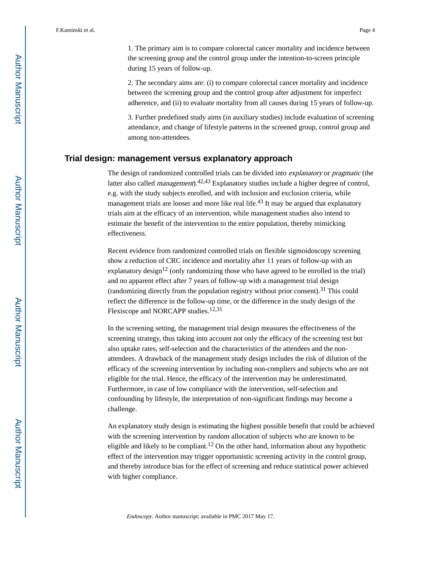1. The primary aim is to compare colorectal cancer mortality and incidence between the screening group and the control group under the intention-to-screen principle during 15 years of follow-up.

2. The secondary aims are: (i) to compare colorectal cancer mortality and incidence between the screening group and the control group after adjustment for imperfect adherence, and (ii) to evaluate mortality from all causes during 15 years of follow-up.

3. Further predefined study aims (in auxiliary studies) include evaluation of screening attendance, and change of lifestyle patterns in the screened group, control group and among non-attendees.

#### **Trial design: management versus explanatory approach**

The design of randomized controlled trials can be divided into explanatory or pragmatic (the latter also called *management*).<sup>42,43</sup> Explanatory studies include a higher degree of control, e.g. with the study subjects enrolled, and with inclusion and exclusion criteria, while management trials are looser and more like real life.<sup>43</sup> It may be argued that explanatory trials aim at the efficacy of an intervention, while management studies also intend to estimate the benefit of the intervention to the entire population, thereby mimicking effectiveness.

Recent evidence from randomized controlled trials on flexible sigmoidoscopy screening show a reduction of CRC incidence and mortality after 11 years of follow-up with an explanatory design<sup>12</sup> (only randomizing those who have agreed to be enrolled in the trial) and no apparent effect after 7 years of follow-up with a management trial design (randomizing directly from the population registry without prior consent).<sup>31</sup> This could reflect the difference in the follow-up time, or the difference in the study design of the Flexiscope and NORCAPP studies.<sup>12,31</sup>

In the screening setting, the management trial design measures the effectiveness of the screening strategy, thus taking into account not only the efficacy of the screening test but also uptake rates, self-selection and the characteristics of the attendees and the nonattendees. A drawback of the management study design includes the risk of dilution of the efficacy of the screening intervention by including non-compliers and subjects who are not eligible for the trial. Hence, the efficacy of the intervention may be underestimated. Furthermore, in case of low compliance with the intervention, self-selection and confounding by lifestyle, the interpretation of non-significant findings may become a challenge.

An explanatory study design is estimating the highest possible benefit that could be achieved with the screening intervention by random allocation of subjects who are known to be eligible and likely to be compliant.<sup>12</sup> On the other hand, information about any hypothetic effect of the intervention may trigger opportunistic screening activity in the control group, and thereby introduce bias for the effect of screening and reduce statistical power achieved with higher compliance.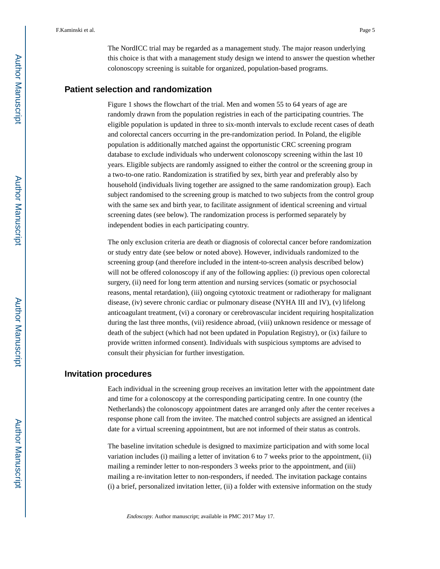The NordICC trial may be regarded as a management study. The major reason underlying this choice is that with a management study design we intend to answer the question whether colonoscopy screening is suitable for organized, population-based programs.

#### **Patient selection and randomization**

Figure 1 shows the flowchart of the trial. Men and women 55 to 64 years of age are randomly drawn from the population registries in each of the participating countries. The eligible population is updated in three to six-month intervals to exclude recent cases of death and colorectal cancers occurring in the pre-randomization period. In Poland, the eligible population is additionally matched against the opportunistic CRC screening program database to exclude individuals who underwent colonoscopy screening within the last 10 years. Eligible subjects are randomly assigned to either the control or the screening group in a two-to-one ratio. Randomization is stratified by sex, birth year and preferably also by household (individuals living together are assigned to the same randomization group). Each subject randomised to the screening group is matched to two subjects from the control group with the same sex and birth year, to facilitate assignment of identical screening and virtual screening dates (see below). The randomization process is performed separately by independent bodies in each participating country.

The only exclusion criteria are death or diagnosis of colorectal cancer before randomization or study entry date (see below or noted above). However, individuals randomized to the screening group (and therefore included in the intent-to-screen analysis described below) will not be offered colonoscopy if any of the following applies: (i) previous open colorectal surgery, (ii) need for long term attention and nursing services (somatic or psychosocial reasons, mental retardation), (iii) ongoing cytotoxic treatment or radiotherapy for malignant disease, (iv) severe chronic cardiac or pulmonary disease (NYHA III and IV), (v) lifelong anticoagulant treatment, (vi) a coronary or cerebrovascular incident requiring hospitalization during the last three months, (vii) residence abroad, (viii) unknown residence or message of death of the subject (which had not been updated in Population Registry), or (ix) failure to provide written informed consent). Individuals with suspicious symptoms are advised to consult their physician for further investigation.

#### **Invitation procedures**

Each individual in the screening group receives an invitation letter with the appointment date and time for a colonoscopy at the corresponding participating centre. In one country (the Netherlands) the colonoscopy appointment dates are arranged only after the center receives a response phone call from the invitee. The matched control subjects are assigned an identical date for a virtual screening appointment, but are not informed of their status as controls.

The baseline invitation schedule is designed to maximize participation and with some local variation includes (i) mailing a letter of invitation 6 to 7 weeks prior to the appointment, (ii) mailing a reminder letter to non-responders 3 weeks prior to the appointment, and (iii) mailing a re-invitation letter to non-responders, if needed. The invitation package contains (i) a brief, personalized invitation letter, (ii) a folder with extensive information on the study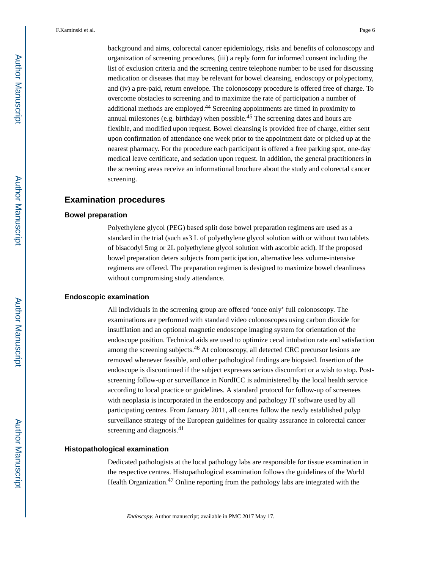background and aims, colorectal cancer epidemiology, risks and benefits of colonoscopy and organization of screening procedures, (iii) a reply form for informed consent including the list of exclusion criteria and the screening centre telephone number to be used for discussing medication or diseases that may be relevant for bowel cleansing, endoscopy or polypectomy, and (iv) a pre-paid, return envelope. The colonoscopy procedure is offered free of charge. To overcome obstacles to screening and to maximize the rate of participation a number of additional methods are employed.<sup>44</sup> Screening appointments are timed in proximity to annual milestones (e.g. birthday) when possible.<sup>45</sup> The screening dates and hours are flexible, and modified upon request. Bowel cleansing is provided free of charge, either sent upon confirmation of attendance one week prior to the appointment date or picked up at the nearest pharmacy. For the procedure each participant is offered a free parking spot, one-day medical leave certificate, and sedation upon request. In addition, the general practitioners in the screening areas receive an informational brochure about the study and colorectal cancer screening.

#### **Examination procedures**

#### **Bowel preparation**

Polyethylene glycol (PEG) based split dose bowel preparation regimens are used as a standard in the trial (such as3 L of polyethylene glycol solution with or without two tablets of bisacodyl 5mg or 2L polyethylene glycol solution with ascorbic acid). If the proposed bowel preparation deters subjects from participation, alternative less volume-intensive regimens are offered. The preparation regimen is designed to maximize bowel cleanliness without compromising study attendance.

#### **Endoscopic examination**

All individuals in the screening group are offered 'once only' full colonoscopy. The examinations are performed with standard video colonoscopes using carbon dioxide for insufflation and an optional magnetic endoscope imaging system for orientation of the endoscope position. Technical aids are used to optimize cecal intubation rate and satisfaction among the screening subjects.<sup>46</sup> At colonoscopy, all detected CRC precursor lesions are removed whenever feasible, and other pathological findings are biopsied. Insertion of the endoscope is discontinued if the subject expresses serious discomfort or a wish to stop. Postscreening follow-up or surveillance in NordICC is administered by the local health service according to local practice or guidelines. A standard protocol for follow-up of screenees with neoplasia is incorporated in the endoscopy and pathology IT software used by all participating centres. From January 2011, all centres follow the newly established polyp surveillance strategy of the European guidelines for quality assurance in colorectal cancer screening and diagnosis.<sup>41</sup>

#### **Histopathological examination**

Dedicated pathologists at the local pathology labs are responsible for tissue examination in the respective centres. Histopathological examination follows the guidelines of the World Health Organization.<sup>47</sup> Online reporting from the pathology labs are integrated with the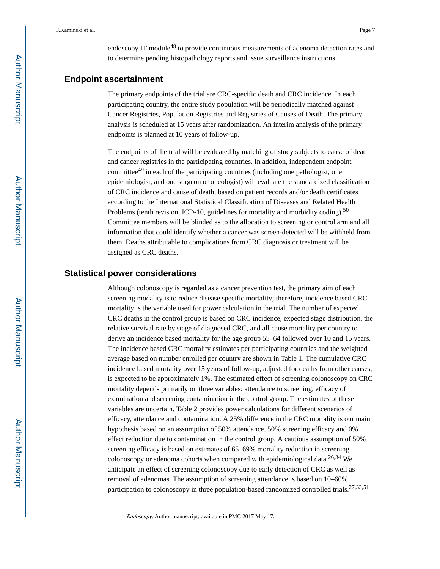endoscopy IT module<sup>48</sup> to provide continuous measurements of adenoma detection rates and to determine pending histopathology reports and issue surveillance instructions.

#### **Endpoint ascertainment**

The primary endpoints of the trial are CRC-specific death and CRC incidence. In each participating country, the entire study population will be periodically matched against Cancer Registries, Population Registries and Registries of Causes of Death. The primary analysis is scheduled at 15 years after randomization. An interim analysis of the primary endpoints is planned at 10 years of follow-up.

The endpoints of the trial will be evaluated by matching of study subjects to cause of death and cancer registries in the participating countries. In addition, independent endpoint committee49 in each of the participating countries (including one pathologist, one epidemiologist, and one surgeon or oncologist) will evaluate the standardized classification of CRC incidence and cause of death, based on patient records and/or death certificates according to the International Statistical Classification of Diseases and Related Health Problems (tenth revision, ICD-10, guidelines for mortality and morbidity coding).<sup>50</sup> Committee members will be blinded as to the allocation to screening or control arm and all information that could identify whether a cancer was screen-detected will be withheld from them. Deaths attributable to complications from CRC diagnosis or treatment will be assigned as CRC deaths.

#### **Statistical power considerations**

Although colonoscopy is regarded as a cancer prevention test, the primary aim of each screening modality is to reduce disease specific mortality; therefore, incidence based CRC mortality is the variable used for power calculation in the trial. The number of expected CRC deaths in the control group is based on CRC incidence, expected stage distribution, the relative survival rate by stage of diagnosed CRC, and all cause mortality per country to derive an incidence based mortality for the age group 55–64 followed over 10 and 15 years. The incidence based CRC mortality estimates per participating countries and the weighted average based on number enrolled per country are shown in Table 1. The cumulative CRC incidence based mortality over 15 years of follow-up, adjusted for deaths from other causes, is expected to be approximately 1%. The estimated effect of screening colonoscopy on CRC mortality depends primarily on three variables: attendance to screening, efficacy of examination and screening contamination in the control group. The estimates of these variables are uncertain. Table 2 provides power calculations for different scenarios of efficacy, attendance and contamination. A 25% difference in the CRC mortality is our main hypothesis based on an assumption of 50% attendance, 50% screening efficacy and 0% effect reduction due to contamination in the control group. A cautious assumption of 50% screening efficacy is based on estimates of 65–69% mortality reduction in screening colonoscopy or adenoma cohorts when compared with epidemiological data.26,34 We anticipate an effect of screening colonoscopy due to early detection of CRC as well as removal of adenomas. The assumption of screening attendance is based on 10–60% participation to colonoscopy in three population-based randomized controlled trials.<sup>27,33,51</sup>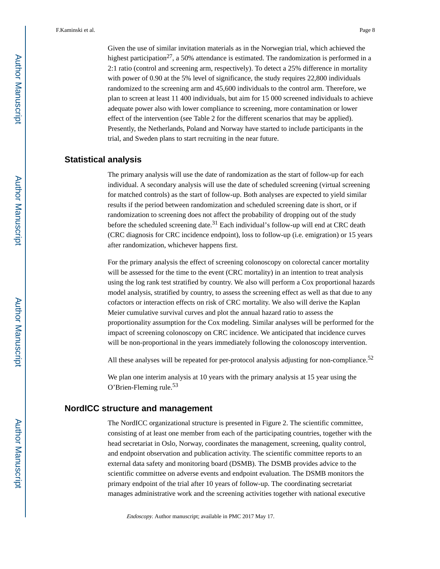Given the use of similar invitation materials as in the Norwegian trial, which achieved the highest participation<sup>27</sup>, a 50% attendance is estimated. The randomization is performed in a 2:1 ratio (control and screening arm, respectively). To detect a 25% difference in mortality with power of 0.90 at the 5% level of significance, the study requires 22,800 individuals randomized to the screening arm and 45,600 individuals to the control arm. Therefore, we plan to screen at least 11 400 individuals, but aim for 15 000 screened individuals to achieve adequate power also with lower compliance to screening, more contamination or lower effect of the intervention (see Table 2 for the different scenarios that may be applied). Presently, the Netherlands, Poland and Norway have started to include participants in the trial, and Sweden plans to start recruiting in the near future.

#### **Statistical analysis**

The primary analysis will use the date of randomization as the start of follow-up for each individual. A secondary analysis will use the date of scheduled screening (virtual screening for matched controls) as the start of follow-up. Both analyses are expected to yield similar results if the period between randomization and scheduled screening date is short, or if randomization to screening does not affect the probability of dropping out of the study before the scheduled screening date.<sup>31</sup> Each individual's follow-up will end at CRC death (CRC diagnosis for CRC incidence endpoint), loss to follow-up (i.e. emigration) or 15 years after randomization, whichever happens first.

For the primary analysis the effect of screening colonoscopy on colorectal cancer mortality will be assessed for the time to the event (CRC mortality) in an intention to treat analysis using the log rank test stratified by country. We also will perform a Cox proportional hazards model analysis, stratified by country, to assess the screening effect as well as that due to any cofactors or interaction effects on risk of CRC mortality. We also will derive the Kaplan Meier cumulative survival curves and plot the annual hazard ratio to assess the proportionality assumption for the Cox modeling. Similar analyses will be performed for the impact of screening colonoscopy on CRC incidence. We anticipated that incidence curves will be non-proportional in the years immediately following the colonoscopy intervention.

All these analyses will be repeated for per-protocol analysis adjusting for non-compliance.<sup>52</sup>

We plan one interim analysis at 10 years with the primary analysis at 15 year using the O'Brien-Fleming rule.<sup>53</sup>

#### **NordICC structure and management**

The NordICC organizational structure is presented in Figure 2. The scientific committee, consisting of at least one member from each of the participating countries, together with the head secretariat in Oslo, Norway, coordinates the management, screening, quality control, and endpoint observation and publication activity. The scientific committee reports to an external data safety and monitoring board (DSMB). The DSMB provides advice to the scientific committee on adverse events and endpoint evaluation. The DSMB monitors the primary endpoint of the trial after 10 years of follow-up. The coordinating secretariat manages administrative work and the screening activities together with national executive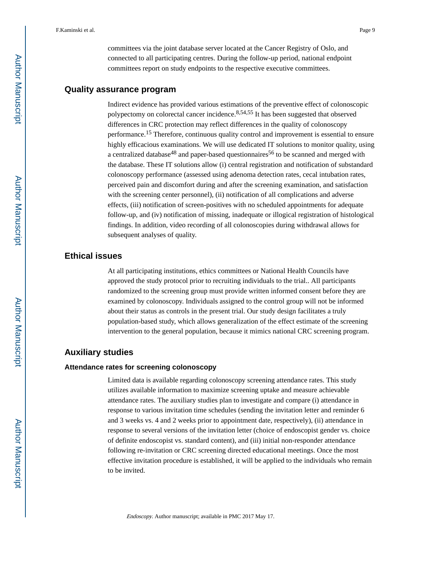committees via the joint database server located at the Cancer Registry of Oslo, and connected to all participating centres. During the follow-up period, national endpoint committees report on study endpoints to the respective executive committees.

#### **Quality assurance program**

Indirect evidence has provided various estimations of the preventive effect of colonoscopic polypectomy on colorectal cancer incidence.8,54,55 It has been suggested that observed differences in CRC protection may reflect differences in the quality of colonoscopy performance.15 Therefore, continuous quality control and improvement is essential to ensure highly efficacious examinations. We will use dedicated IT solutions to monitor quality, using a centralized database<sup>48</sup> and paper-based questionnaires<sup>56</sup> to be scanned and merged with the database. These IT solutions allow (i) central registration and notification of substandard colonoscopy performance (assessed using adenoma detection rates, cecal intubation rates, perceived pain and discomfort during and after the screening examination, and satisfaction with the screening center personnel), (ii) notification of all complications and adverse effects, (iii) notification of screen-positives with no scheduled appointments for adequate follow-up, and (iv) notification of missing, inadequate or illogical registration of histological findings. In addition, video recording of all colonoscopies during withdrawal allows for subsequent analyses of quality.

#### **Ethical issues**

At all participating institutions, ethics committees or National Health Councils have approved the study protocol prior to recruiting individuals to the trial.. All participants randomized to the screening group must provide written informed consent before they are examined by colonoscopy. Individuals assigned to the control group will not be informed about their status as controls in the present trial. Our study design facilitates a truly population-based study, which allows generalization of the effect estimate of the screening intervention to the general population, because it mimics national CRC screening program.

#### **Auxiliary studies**

#### **Attendance rates for screening colonoscopy**

Limited data is available regarding colonoscopy screening attendance rates. This study utilizes available information to maximize screening uptake and measure achievable attendance rates. The auxiliary studies plan to investigate and compare (i) attendance in response to various invitation time schedules (sending the invitation letter and reminder 6 and 3 weeks vs. 4 and 2 weeks prior to appointment date, respectively), (ii) attendance in response to several versions of the invitation letter (choice of endoscopist gender vs. choice of definite endoscopist vs. standard content), and (iii) initial non-responder attendance following re-invitation or CRC screening directed educational meetings. Once the most effective invitation procedure is established, it will be applied to the individuals who remain to be invited.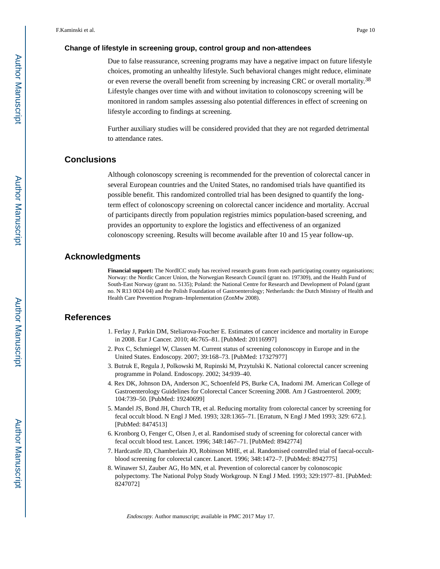#### **Change of lifestyle in screening group, control group and non-attendees**

Due to false reassurance, screening programs may have a negative impact on future lifestyle choices, promoting an unhealthy lifestyle. Such behavioral changes might reduce, eliminate or even reverse the overall benefit from screening by increasing CRC or overall mortality.<sup>38</sup> Lifestyle changes over time with and without invitation to colonoscopy screening will be monitored in random samples assessing also potential differences in effect of screening on lifestyle according to findings at screening.

Further auxiliary studies will be considered provided that they are not regarded detrimental to attendance rates.

#### **Conclusions**

Although colonoscopy screening is recommended for the prevention of colorectal cancer in several European countries and the United States, no randomised trials have quantified its possible benefit. This randomized controlled trial has been designed to quantify the longterm effect of colonoscopy screening on colorectal cancer incidence and mortality. Accrual of participants directly from population registries mimics population-based screening, and provides an opportunity to explore the logistics and effectiveness of an organized colonoscopy screening. Results will become available after 10 and 15 year follow-up.

#### **Acknowledgments**

**Financial support:** The NordICC study has received research grants from each participating country organisations; Norway: the Nordic Cancer Union, the Norwegian Research Council (grant no. 197309), and the Health Fund of South-East Norway (grant no. 5135); Poland: the National Centre for Research and Development of Poland (grant no. N R13 0024 04) and the Polish Foundation of Gastroenterology; Netherlands: the Dutch Ministry of Health and Health Care Prevention Program–Implementation (ZonMw 2008).

#### **References**

- 1. Ferlay J, Parkin DM, Steliarova-Foucher E. Estimates of cancer incidence and mortality in Europe in 2008. Eur J Cancer. 2010; 46:765–81. [PubMed: 20116997]
- 2. Pox C, Schmiegel W, Classen M. Current status of screening colonoscopy in Europe and in the United States. Endoscopy. 2007; 39:168–73. [PubMed: 17327977]
- 3. Butruk E, Regula J, Polkowski M, Rupinski M, Przytulski K. National colorectal cancer screening programme in Poland. Endoscopy. 2002; 34:939–40.
- 4. Rex DK, Johnson DA, Anderson JC, Schoenfeld PS, Burke CA, Inadomi JM. American College of Gastroenterology Guidelines for Colorectal Cancer Screening 2008. Am J Gastroenterol. 2009; 104:739–50. [PubMed: 19240699]
- 5. Mandel JS, Bond JH, Church TR, et al. Reducing mortality from colorectal cancer by screening for fecal occult blood. N Engl J Med. 1993; 328:1365–71. [Erratum, N Engl J Med 1993; 329: 672.]. [PubMed: 8474513]
- 6. Kronborg O, Fenger C, Olsen J, et al. Randomised study of screening for colorectal cancer with fecal occult blood test. Lancet. 1996; 348:1467–71. [PubMed: 8942774]
- 7. Hardcastle JD, Chamberlain JO, Robinson MHE, et al. Randomised controlled trial of faecal-occultblood screening for colorectal cancer. Lancet. 1996; 348:1472–7. [PubMed: 8942775]
- 8. Winawer SJ, Zauber AG, Ho MN, et al. Prevention of colorectal cancer by colonoscopic polypectomy. The National Polyp Study Workgroup. N Engl J Med. 1993; 329:1977–81. [PubMed: 8247072]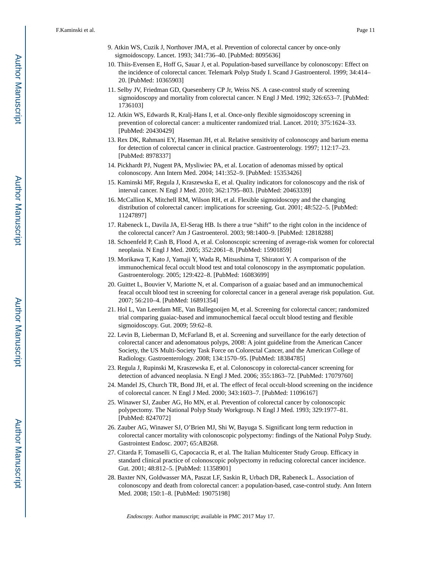- 9. Atkin WS, Cuzik J, Northover JMA, et al. Prevention of colorectal cancer by once-only sigmoidoscopy. Lancet. 1993; 341:736–40. [PubMed: 8095636]
- 10. Thiis-Evensen E, Hoff G, Sauar J, et al. Population-based surveillance by colonoscopy: Effect on the incidence of colorectal cancer. Telemark Polyp Study I. Scand J Gastroenterol. 1999; 34:414– 20. [PubMed: 10365903]
- 11. Selby JV, Friedman GD, Quesenberry CP Jr, Weiss NS. A case-control study of screening sigmoidoscopy and mortality from colorectal cancer. N Engl J Med. 1992; 326:653–7. [PubMed: 1736103]
- 12. Atkin WS, Edwards R, Kralj-Hans I, et al. Once-only flexible sigmoidoscopy screening in prevention of colorectal cancer: a multicenter randomized trial. Lancet. 2010; 375:1624–33. [PubMed: 20430429]
- 13. Rex DK, Rahmani EY, Haseman JH, et al. Relative sensitivity of colonoscopy and barium enema for detection of colorectal cancer in clinical practice. Gastroenterology. 1997; 112:17–23. [PubMed: 8978337]
- 14. Pickhardt PJ, Nugent PA, Mysliwiec PA, et al. Location of adenomas missed by optical colonoscopy. Ann Intern Med. 2004; 141:352–9. [PubMed: 15353426]
- 15. Kaminski MF, Regula J, Kraszewska E, et al. Quality indicators for colonoscopy and the risk of interval cancer. N Engl J Med. 2010; 362:1795–803. [PubMed: 20463339]
- 16. McCallion K, Mitchell RM, Wilson RH, et al. Flexible sigmoidoscopy and the changing distribution of colorectal cancer: implications for screening. Gut. 2001; 48:522–5. [PubMed: 11247897]
- 17. Rabeneck L, Davila JA, El-Serag HB. Is there a true "shift" to the right colon in the incidence of the colorectal cancer? Am J Gastroenterol. 2003; 98:1400–9. [PubMed: 12818288]
- 18. Schoenfeld P, Cash B, Flood A, et al. Colonoscopic screening of average-risk women for colorectal neoplasia. N Engl J Med. 2005; 352:2061–8. [PubMed: 15901859]
- 19. Morikawa T, Kato J, Yamaji Y, Wada R, Mitsushima T, Shiratori Y. A comparison of the immunochemical fecal occult blood test and total colonoscopy in the asymptomatic population. Gastroenterology. 2005; 129:422–8. [PubMed: 16083699]
- 20. Guittet L, Bouvier V, Mariotte N, et al. Comparison of a guaiac based and an immunochemical feacal occult blood test in screening for colorectal cancer in a general average risk population. Gut. 2007; 56:210–4. [PubMed: 16891354]
- 21. Hol L, Van Leerdam ME, Van Ballegooijen M, et al. Screening for colorectal cancer; randomized trial comparing guaiac-based and immunochemical faecal occult blood testing and flexible sigmoidoscopy. Gut. 2009; 59:62–8.
- 22. Levin B, Lieberman D, McFarland B, et al. Screening and surveillance for the early detection of colorectal cancer and adenomatous polyps, 2008: A joint guideline from the American Cancer Society, the US Multi-Society Task Force on Colorectal Cancer, and the American College of Radiology. Gastroenterology. 2008; 134:1570–95. [PubMed: 18384785]
- 23. Regula J, Rupinski M, Kraszewska E, et al. Colonoscopy in colorectal-cancer screening for detection of advanced neoplasia. N Engl J Med. 2006; 355:1863–72. [PubMed: 17079760]
- 24. Mandel JS, Church TR, Bond JH, et al. The effect of fecal occult-blood screening on the incidence of colorectal cancer. N Engl J Med. 2000; 343:1603–7. [PubMed: 11096167]
- 25. Winawer SJ, Zauber AG, Ho MN, et al. Prevention of colorectal cancer by colonoscopic polypectomy. The National Polyp Study Workgroup. N Engl J Med. 1993; 329:1977–81. [PubMed: 8247072]
- 26. Zauber AG, Winawer SJ, O'Brien MJ, Shi W, Bayuga S. Significant long term reduction in colorectal cancer mortality with colonoscopic polypectomy: findings of the National Polyp Study. Gastrointest Endosc. 2007; 65:AB268.
- 27. Citarda F, Tomaselli G, Capocaccia R, et al. The Italian Multicenter Study Group. Efficacy in standard clinical practice of colonoscopic polypectomy in reducing colorectal cancer incidence. Gut. 2001; 48:812–5. [PubMed: 11358901]
- 28. Baxter NN, Goldwasser MA, Paszat LF, Saskin R, Urbach DR, Rabeneck L. Association of colonoscopy and death from colorectal cancer: a population-based, case-control study. Ann Intern Med. 2008; 150:1–8. [PubMed: 19075198]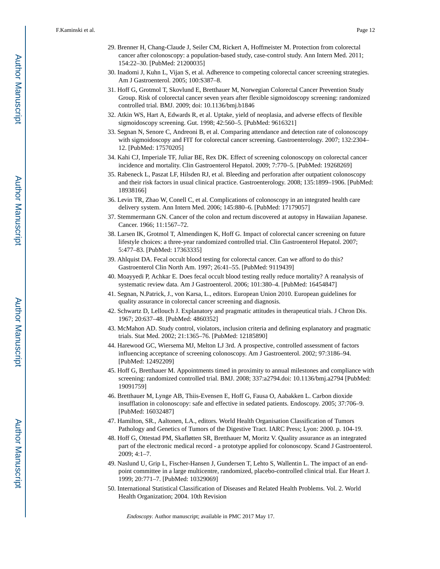- 29. Brenner H, Chang-Claude J, Seiler CM, Rickert A, Hoffmeister M. Protection from colorectal cancer after colonoscopy: a population-based study, case-control study. Ann Intern Med. 2011; 154:22–30. [PubMed: 21200035]
- 30. Inadomi J, Kuhn L, Vijan S, et al. Adherence to competing colorectal cancer screening strategies. Am J Gastroenterol. 2005; 100:S387–8.
- 31. Hoff G, Grotmol T, Skovlund E, Bretthauer M, Norwegian Colorectal Cancer Prevention Study Group. Risk of colorectal cancer seven years after flexible sigmoidoscopy screening: randomized controlled trial. BMJ. 2009; doi: 10.1136/bmj.b1846
- 32. Atkin WS, Hart A, Edwards R, et al. Uptake, yield of neoplasia, and adverse effects of flexible sigmoidoscopy screening. Gut. 1998; 42:560–5. [PubMed: 9616321]
- 33. Segnan N, Senore C, Andreoni B, et al. Comparing attendance and detection rate of colonoscopy with sigmoidoscopy and FIT for colorectal cancer screening. Gastroenterology. 2007; 132:2304– 12. [PubMed: 17570205]
- 34. Kahi CJ, Imperiale TF, Juliar BE, Rex DK. Effect of screening colonoscopy on colorectal cancer incidence and mortality. Clin Gastroenterol Hepatol. 2009; 7:770–5. [PubMed: 19268269]
- 35. Rabeneck L, Paszat LF, Hilsden RJ, et al. Bleeding and perforation after outpatient colonoscopy and their risk factors in usual clinical practice. Gastroenterology. 2008; 135:1899–1906. [PubMed: 18938166]
- 36. Levin TR, Zhao W, Conell C, et al. Complications of colonoscopy in an integrated health care delivery system. Ann Intern Med. 2006; 145:880–6. [PubMed: 17179057]
- 37. Stemmermann GN. Cancer of the colon and rectum discovered at autopsy in Hawaiian Japanese. Cancer. 1966; 11:1567–72.
- 38. Larsen IK, Grotmol T, Almendingen K, Hoff G. Impact of colorectal cancer screening on future lifestyle choices: a three-year randomized controlled trial. Clin Gastroenterol Hepatol. 2007; 5:477–83. [PubMed: 17363335]
- 39. Ahlquist DA. Fecal occult blood testing for colorectal cancer. Can we afford to do this? Gastroenterol Clin North Am. 1997; 26:41–55. [PubMed: 9119439]
- 40. Moayyedi P, Achkar E. Does fecal occult blood testing really reduce mortality? A reanalysis of systematic review data. Am J Gastroenterol. 2006; 101:380–4. [PubMed: 16454847]
- 41. Segnan, N.Patrick, J., von Karsa, L., editors. European Union 2010. European guidelines for quality assurance in colorectal cancer screening and diagnosis.
- 42. Schwartz D, Lellouch J. Explanatory and pragmatic attitudes in therapeutical trials. J Chron Dis. 1967; 20:637–48. [PubMed: 4860352]
- 43. McMahon AD. Study control, violators, inclusion criteria and defining explanatory and pragmatic trials. Stat Med. 2002; 21:1365–76. [PubMed: 12185890]
- 44. Harewood GC, Wiersema MJ, Melton LJ 3rd. A prospective, controlled assessment of factors influencing acceptance of screening colonoscopy. Am J Gastroenterol. 2002; 97:3186–94. [PubMed: 12492209]
- 45. Hoff G, Bretthauer M. Appointments timed in proximity to annual milestones and compliance with screening: randomized controlled trial. BMJ. 2008; 337:a2794.doi: 10.1136/bmj.a2794 [PubMed: 19091759]
- 46. Bretthauer M, Lynge AB, Thiis-Evensen E, Hoff G, Fausa O, Aabakken L. Carbon dioxide insufflation in colonoscopy: safe and effective in sedated patients. Endoscopy. 2005; 37:706–9. [PubMed: 16032487]
- 47. Hamilton, SR., Aaltonen, LA., editors. World Health Organisation Classification of Tumors Pathology and Genetics of Tumors of the Digestive Tract. IARC Press; Lyon: 2000. p. 104-19.
- 48. Hoff G, Ottestad PM, Skafløtten SR, Bretthauer M, Moritz V. Quality assurance as an integrated part of the electronic medical record - a prototype applied for colonoscopy. Scand J Gastroenterol. 2009; 4:1–7.
- 49. Naslund U, Grip L, Fischer-Hansen J, Gundersen T, Lehto S, Wallentin L. The impact of an endpoint committee in a large multicentre, randomized, placebo-controlled clinical trial. Eur Heart J. 1999; 20:771–7. [PubMed: 10329069]
- 50. International Statistical Classification of Diseases and Related Health Problems. Vol. 2. World Health Organization; 2004. 10th Revision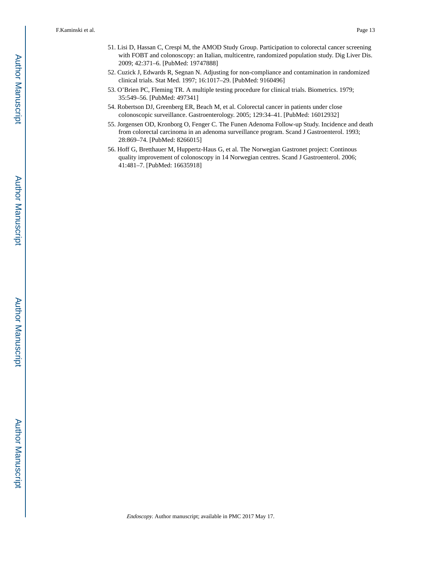- 51. Lisi D, Hassan C, Crespi M, the AMOD Study Group. Participation to colorectal cancer screening with FOBT and colonoscopy: an Italian, multicentre, randomized population study. Dig Liver Dis. 2009; 42:371–6. [PubMed: 19747888]
- 52. Cuzick J, Edwards R, Segnan N. Adjusting for non-compliance and contamination in randomized clinical trials. Stat Med. 1997; 16:1017–29. [PubMed: 9160496]
- 53. O'Brien PC, Fleming TR. A multiple testing procedure for clinical trials. Biometrics. 1979; 35:549–56. [PubMed: 497341]
- 54. Robertson DJ, Greenberg ER, Beach M, et al. Colorectal cancer in patients under close colonoscopic surveillance. Gastroenterology. 2005; 129:34–41. [PubMed: 16012932]
- 55. Jorgensen OD, Kronborg O, Fenger C. The Funen Adenoma Follow-up Study. Incidence and death from colorectal carcinoma in an adenoma surveillance program. Scand J Gastroenterol. 1993; 28:869–74. [PubMed: 8266015]
- 56. Hoff G, Bretthauer M, Huppertz-Haus G, et al. The Norwegian Gastronet project: Continous quality improvement of colonoscopy in 14 Norwegian centres. Scand J Gastroenterol. 2006; 41:481–7. [PubMed: 16635918]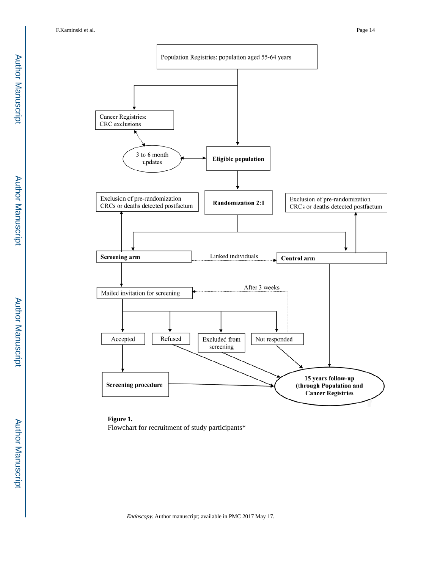

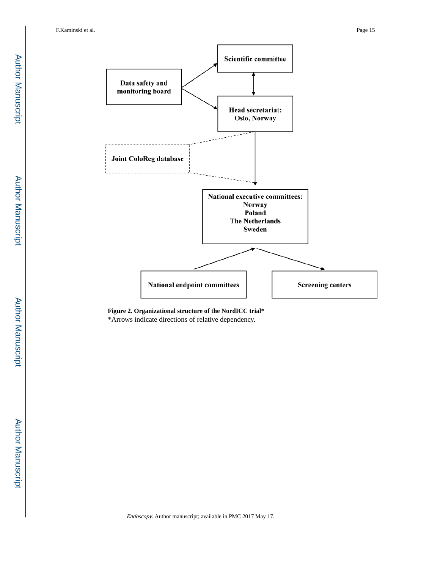

**Figure 2. Organizational structure of the NordICC trial\*** \*Arrows indicate directions of relative dependency.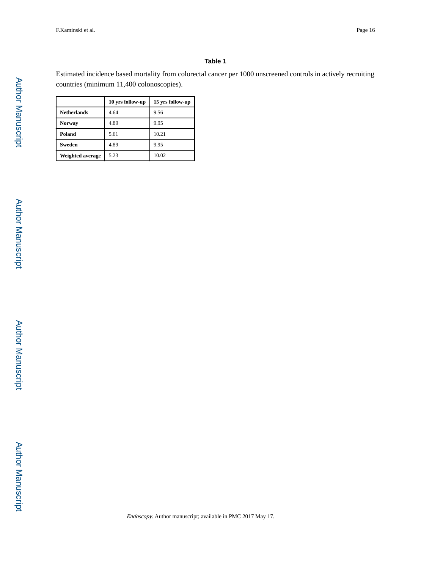#### **Table 1**

Estimated incidence based mortality from colorectal cancer per 1000 unscreened controls in actively recruiting countries (minimum 11,400 colonoscopies).

|                         | 10 yrs follow-up | 15 yrs follow-up |
|-------------------------|------------------|------------------|
| <b>Netherlands</b>      | 4.64             | 9.56             |
| <b>Norway</b>           | 4.89             | 9.95             |
| Poland                  | 5.61             | 10.21            |
| <b>Sweden</b>           | 4.89             | 9.95             |
| <b>Weighted average</b> | 5.23             | 10.02            |